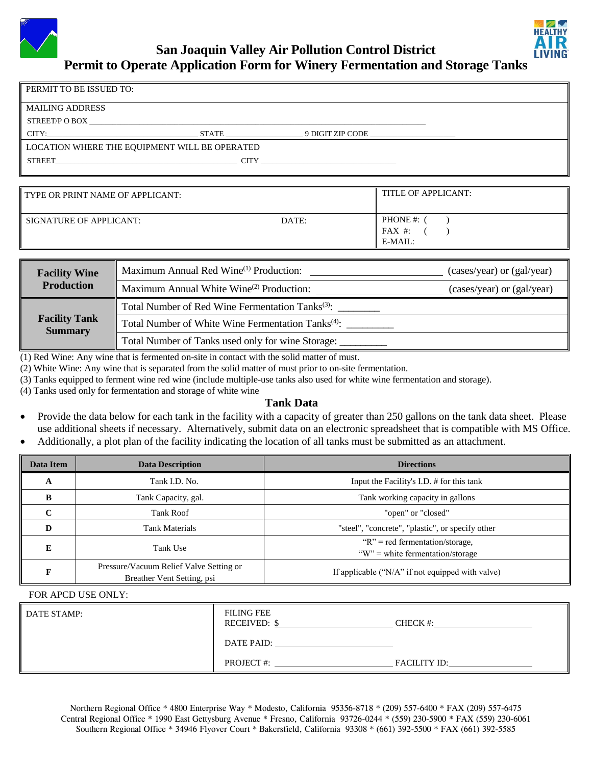

| PERMIT TO BE ISSUED TO:                       |       |                  |  |  |  |
|-----------------------------------------------|-------|------------------|--|--|--|
| <b>MAILING ADDRESS</b>                        |       |                  |  |  |  |
| STREET/P O BOX                                |       |                  |  |  |  |
| CITY:                                         | STATE | 9 DIGIT ZIP CODE |  |  |  |
| LOCATION WHERE THE EQUIPMENT WILL BE OPERATED |       |                  |  |  |  |
| <b>STREET</b>                                 | CITY  |                  |  |  |  |

| <b>TYPE OR PRINT NAME OF APPLICANT:</b> |       | TITLE OF APPLICANT:            |  |  |  |
|-----------------------------------------|-------|--------------------------------|--|--|--|
| SIGNATURE OF APPLICANT:                 | DATE: | PHONE#:<br>FAX #:<br>$E-MAIL:$ |  |  |  |

| <b>Facility Wine</b>                   | Maximum Annual Red Wine <sup>(1)</sup> Production:             | (cases/year) or (gal/year) |  |
|----------------------------------------|----------------------------------------------------------------|----------------------------|--|
| <b>Production</b>                      | Maximum Annual White Wine <sup>(2)</sup> Production:           | (cases/year) or (gal/year) |  |
|                                        | Total Number of Red Wine Fermentation Tanks <sup>(3)</sup> :   |                            |  |
| <b>Facility Tank</b><br><b>Summary</b> | Total Number of White Wine Fermentation Tanks <sup>(4)</sup> : |                            |  |
|                                        | Total Number of Tanks used only for wine Storage:              |                            |  |

(1) Red Wine: Any wine that is fermented on-site in contact with the solid matter of must.

(2) White Wine: Any wine that is separated from the solid matter of must prior to on-site fermentation.

(3) Tanks equipped to ferment wine red wine (include multiple-use tanks also used for white wine fermentation and storage).

(4) Tanks used only for fermentation and storage of white wine

## **Tank Data**

- Provide the data below for each tank in the facility with a capacity of greater than 250 gallons on the tank data sheet. Please use additional sheets if necessary. Alternatively, submit data on an electronic spreadsheet that is compatible with MS Office.
- Additionally, a plot plan of the facility indicating the location of all tanks must be submitted as an attachment.

| Data Item | <b>Data Description</b>                                               | <b>Directions</b>                                                       |  |  |
|-----------|-----------------------------------------------------------------------|-------------------------------------------------------------------------|--|--|
| A         | Tank I.D. No.                                                         | Input the Facility's I.D. # for this tank                               |  |  |
| B         | Tank Capacity, gal.                                                   | Tank working capacity in gallons                                        |  |  |
| C         | <b>Tank Roof</b>                                                      | "open" or "closed"                                                      |  |  |
| D         | <b>Tank Materials</b>                                                 | "steel", "concrete", "plastic", or specify other                        |  |  |
| E         | Tank Use                                                              | " $R$ " = red fermentation/storage,<br>"W" = white fermentation/storage |  |  |
| F         | Pressure/Vacuum Relief Valve Setting or<br>Breather Vent Setting, psi | If applicable $("N/A"$ if not equipped with valve)                      |  |  |

## FOR APCD USE ONLY:

| DATE STAMP: | <b>FILING FEE</b><br><b>RECEIVED: \$</b> | CHECK #:            |
|-------------|------------------------------------------|---------------------|
|             | DATE PAID:                               |                     |
|             | <b>PROJECT#:</b>                         | <b>FACILITY ID:</b> |

Northern Regional Office \* 4800 Enterprise Way \* Modesto, California 95356-8718 \* (209) 557-6400 \* FAX (209) 557-6475 Central Regional Office \* 1990 East Gettysburg Avenue \* Fresno, California 93726-0244 \* (559) 230-5900 \* FAX (559) 230-6061 Southern Regional Office \* 34946 Flyover Court \* Bakersfield, California 93308 \* (661) 392-5500 \* FAX (661) 392-5585